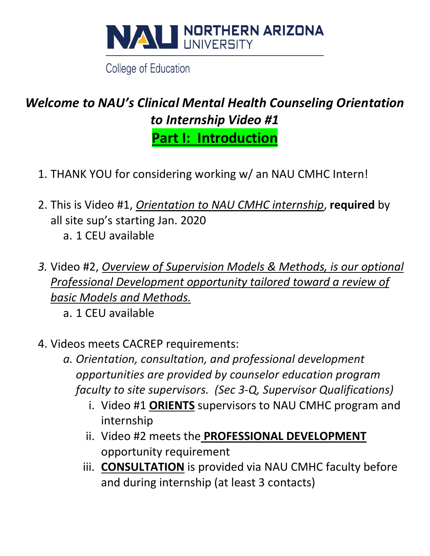

College of Education

# *Welcome to NAU's Clinical Mental Health Counseling Orientation to Internship Video #1*

**Part I: Introduction**

- 1. THANK YOU for considering working w/ an NAU CMHC Intern!
- 2. This is Video #1, *Orientation to NAU CMHC internship*, **required** by all site sup's starting Jan. 2020
	- a. 1 CEU available
- *3.* Video #2, *Overview of Supervision Models & Methods, is our optional Professional Development opportunity tailored toward a review of basic Models and Methods.*
	- a. 1 CEU available
- 4. Videos meets CACREP requirements:
	- *a. Orientation, consultation, and professional development opportunities are provided by counselor education program faculty to site supervisors. (Sec 3-Q, Supervisor Qualifications)*
		- i. Video #1 **ORIENTS** supervisors to NAU CMHC program and internship
		- ii. Video #2 meets the **PROFESSIONAL DEVELOPMENT** opportunity requirement
		- iii. **CONSULTATION** is provided via NAU CMHC faculty before and during internship (at least 3 contacts)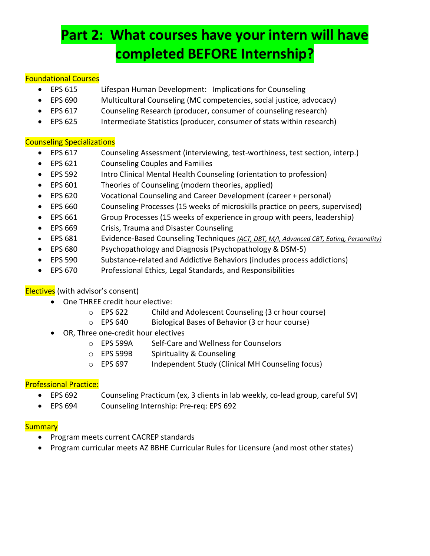# **Part 2: What courses have your intern will have completed BEFORE Internship?**

#### Foundational Courses

- EPS 615 Lifespan Human Development: Implications for Counseling
- EPS 690 Multicultural Counseling (MC competencies, social justice, advocacy)
- EPS 617 Counseling Research (producer, consumer of counseling research)
- EPS 625 Intermediate Statistics (producer, consumer of stats within research)

#### Counseling Specializations

- EPS 617 Counseling Assessment (interviewing, test-worthiness, test section, interp.)
- EPS 621 Counseling Couples and Families
- EPS 592 Intro Clinical Mental Health Counseling (orientation to profession)
- EPS 601 Theories of Counseling (modern theories, applied)
- EPS 620 Vocational Counseling and Career Development (career + personal)
- EPS 660 Counseling Processes (15 weeks of microskills practice on peers, supervised)
- EPS 661 Group Processes (15 weeks of experience in group with peers, leadership)
- EPS 669 Crisis, Trauma and Disaster Counseling
- EPS 681 Evidence-Based Counseling Techniques *(ACT, DBT, M/I, Advanced CBT, Eating, Personality)*
- EPS 680 Psychopathology and Diagnosis (Psychopathology & DSM-5)
- EPS 590 Substance-related and Addictive Behaviors (includes process addictions)
- EPS 670 Professional Ethics, Legal Standards, and Responsibilities

#### Electives (with advisor's consent)

- One THREE credit hour elective:
	- o EPS 622 Child and Adolescent Counseling (3 cr hour course)
	- o EPS 640 Biological Bases of Behavior (3 cr hour course)
- OR, Three one-credit hour electives
	- o EPS 599A Self-Care and Wellness for Counselors
	- o EPS 599B Spirituality & Counseling
	- o EPS 697 Independent Study (Clinical MH Counseling focus)

#### Professional Practice:

- EPS 692 Counseling Practicum (ex, 3 clients in lab weekly, co-lead group, careful SV)
- EPS 694 Counseling Internship: Pre-req: EPS 692

#### **Summary**

- Program meets current CACREP standards
- Program curricular meets AZ BBHE Curricular Rules for Licensure (and most other states)